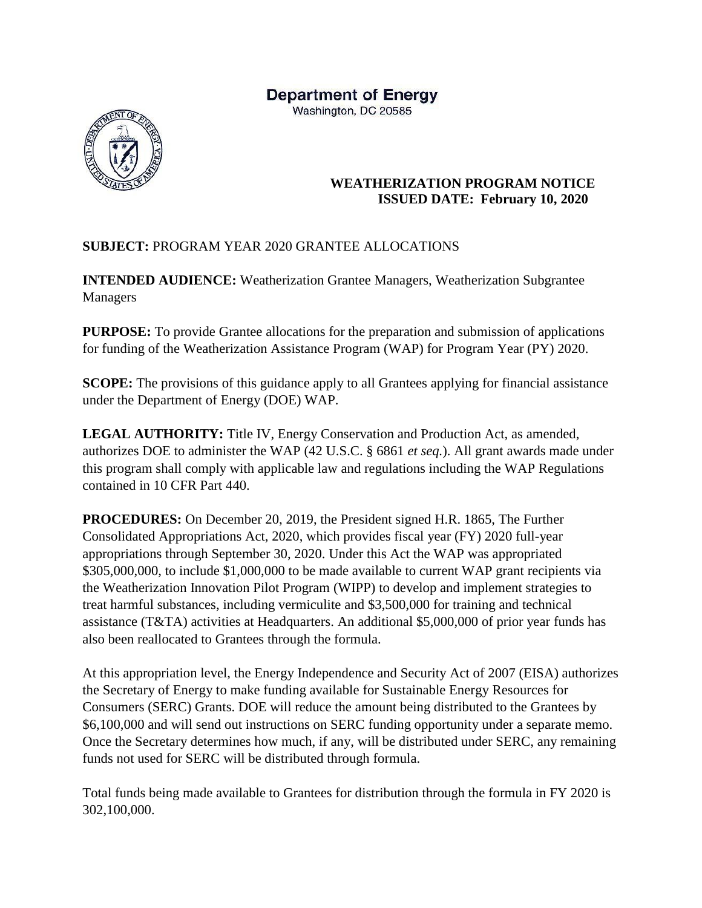## **Department of Energy**

Washington, DC 20585



## **WEATHERIZATION PROGRAM NOTICE ISSUED DATE: February 10, 2020**

## **SUBJECT:** PROGRAM YEAR 2020 GRANTEE ALLOCATIONS

**INTENDED AUDIENCE:** Weatherization Grantee Managers, Weatherization Subgrantee Managers

**PURPOSE:** To provide Grantee allocations for the preparation and submission of applications for funding of the Weatherization Assistance Program (WAP) for Program Year (PY) 2020.

**SCOPE:** The provisions of this guidance apply to all Grantees applying for financial assistance under the Department of Energy (DOE) WAP.

**LEGAL AUTHORITY:** Title IV, Energy Conservation and Production Act, as amended, authorizes DOE to administer the WAP (42 U.S.C. § 6861 *et seq.*). All grant awards made under this program shall comply with applicable law and regulations including the WAP Regulations contained in 10 CFR Part 440.

**PROCEDURES:** On December 20, 2019, the President signed H.R. 1865, The Further Consolidated Appropriations Act, 2020, which provides fiscal year (FY) 2020 full-year appropriations through September 30, 2020. Under this Act the WAP was appropriated \$305,000,000, to include \$1,000,000 to be made available to current WAP grant recipients via the Weatherization Innovation Pilot Program (WIPP) to develop and implement strategies to treat harmful substances, including vermiculite and \$3,500,000 for training and technical assistance (T&TA) activities at Headquarters. An additional \$5,000,000 of prior year funds has also been reallocated to Grantees through the formula.

At this appropriation level, the Energy Independence and Security Act of 2007 (EISA) authorizes the Secretary of Energy to make funding available for Sustainable Energy Resources for Consumers (SERC) Grants. DOE will reduce the amount being distributed to the Grantees by \$6,100,000 and will send out instructions on SERC funding opportunity under a separate memo. Once the Secretary determines how much, if any, will be distributed under SERC, any remaining funds not used for SERC will be distributed through formula.

Total funds being made available to Grantees for distribution through the formula in FY 2020 is 302,100,000.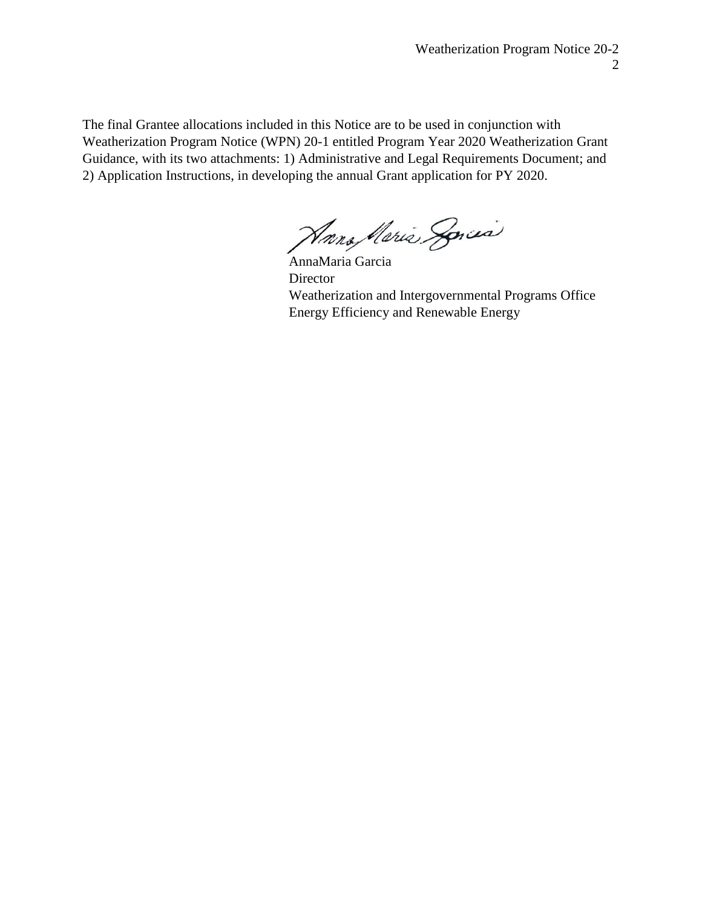The final Grantee allocations included in this Notice are to be used in conjunction with Weatherization Program Notice (WPN) 20-1 entitled Program Year 2020 Weatherization Grant Guidance, with its two attachments: 1) Administrative and Legal Requirements Document; and 2) Application Instructions, in developing the annual Grant application for PY 2020.

Hans Maria Sorcia

AnnaMaria Garcia Director Weatherization and Intergovernmental Programs Office Energy Efficiency and Renewable Energy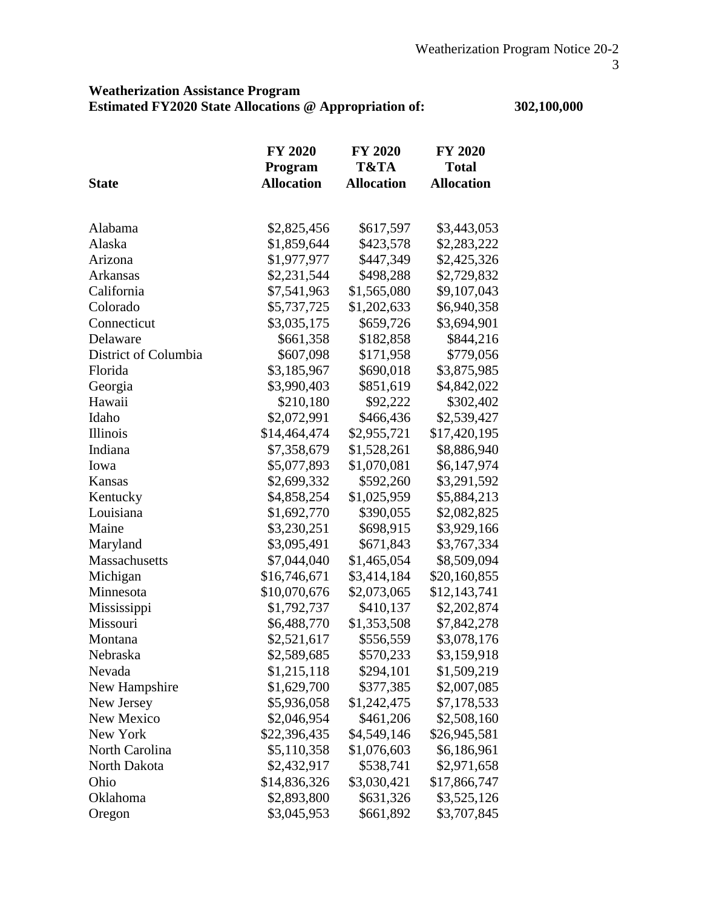## **Weatherization Assistance Program Estimated FY2020 State Allocations @ Appropriation of: 302,100,000**

|                      | <b>FY 2020</b>    | <b>FY 2020</b>    | <b>FY 2020</b>    |
|----------------------|-------------------|-------------------|-------------------|
|                      | Program           | T&TA              | <b>Total</b>      |
| <b>State</b>         | <b>Allocation</b> | <b>Allocation</b> | <b>Allocation</b> |
|                      |                   |                   |                   |
| Alabama              | \$2,825,456       | \$617,597         | \$3,443,053       |
| Alaska               | \$1,859,644       | \$423,578         | \$2,283,222       |
| Arizona              | \$1,977,977       | \$447,349         | \$2,425,326       |
| Arkansas             | \$2,231,544       | \$498,288         | \$2,729,832       |
| California           | \$7,541,963       | \$1,565,080       | \$9,107,043       |
| Colorado             | \$5,737,725       | \$1,202,633       | \$6,940,358       |
| Connecticut          | \$3,035,175       | \$659,726         | \$3,694,901       |
| Delaware             | \$661,358         | \$182,858         | \$844,216         |
| District of Columbia | \$607,098         | \$171,958         | \$779,056         |
| Florida              | \$3,185,967       | \$690,018         | \$3,875,985       |
| Georgia              | \$3,990,403       | \$851,619         | \$4,842,022       |
| Hawaii               | \$210,180         | \$92,222          | \$302,402         |
| Idaho                | \$2,072,991       | \$466,436         | \$2,539,427       |
| Illinois             | \$14,464,474      | \$2,955,721       | \$17,420,195      |
| Indiana              | \$7,358,679       | \$1,528,261       | \$8,886,940       |
| Iowa                 | \$5,077,893       | \$1,070,081       | \$6,147,974       |
| Kansas               | \$2,699,332       | \$592,260         | \$3,291,592       |
| Kentucky             | \$4,858,254       | \$1,025,959       | \$5,884,213       |
| Louisiana            | \$1,692,770       | \$390,055         | \$2,082,825       |
| Maine                | \$3,230,251       | \$698,915         | \$3,929,166       |
| Maryland             | \$3,095,491       | \$671,843         | \$3,767,334       |
| Massachusetts        | \$7,044,040       | \$1,465,054       | \$8,509,094       |
| Michigan             | \$16,746,671      | \$3,414,184       | \$20,160,855      |
| Minnesota            | \$10,070,676      | \$2,073,065       | \$12,143,741      |
| Mississippi          | \$1,792,737       | \$410,137         | \$2,202,874       |
| Missouri             | \$6,488,770       | \$1,353,508       | \$7,842,278       |
| Montana              | \$2,521,617       | \$556,559         | \$3,078,176       |
| Nebraska             | \$2,589,685       | \$570,233         | \$3,159,918       |
| Nevada               | \$1,215,118       | \$294,101         | \$1,509,219       |
| New Hampshire        | \$1,629,700       | \$377,385         | \$2,007,085       |
| New Jersey           | \$5,936,058       | \$1,242,475       | \$7,178,533       |
| New Mexico           | \$2,046,954       | \$461,206         | \$2,508,160       |
| New York             | \$22,396,435      | \$4,549,146       | \$26,945,581      |
| North Carolina       | \$5,110,358       | \$1,076,603       | \$6,186,961       |
| North Dakota         | \$2,432,917       | \$538,741         | \$2,971,658       |
| Ohio                 | \$14,836,326      | \$3,030,421       | \$17,866,747      |
| Oklahoma             | \$2,893,800       | \$631,326         | \$3,525,126       |
| Oregon               | \$3,045,953       | \$661,892         | \$3,707,845       |